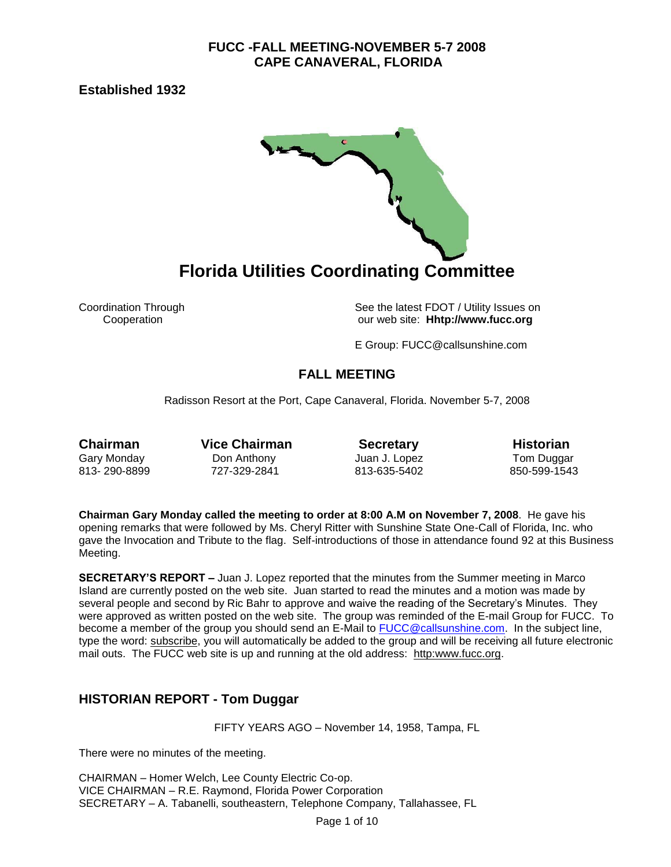**Established 1932** 



Coordination Through See the latest FDOT / Utility Issues on<br>Cooperation Cooperation See the latest FDOT / Utility Issues on our web site: **Hhtp://www.fucc.org** 

E Group: FUCC@callsunshine.com

## **FALL MEETING**

Radisson Resort at the Port, Cape Canaveral, Florida. November 5-7, 2008

**Chairman** Vice Chairman **Secretary** Historian Gary Monday Don Anthony Juan J. Lopez Tom Duggar 813- 290-8899 727-329-2841 813-635-5402 850-599-1543

**Chairman Gary Monday called the meeting to order at 8:00 A.M on November 7, 2008**. He gave his opening remarks that were followed by Ms. Cheryl Ritter with Sunshine State One-Call of Florida, Inc. who gave the Invocation and Tribute to the flag. Self-introductions of those in attendance found 92 at this Business Meeting.

**SECRETARY'S REPORT –** Juan J. Lopez reported that the minutes from the Summer meeting in Marco Island are currently posted on the web site. Juan started to read the minutes and a motion was made by several people and second by Ric Bahr to approve and waive the reading of the Secretary's Minutes. They were approved as written posted on the web site. The group was reminded of the E-mail Group for FUCC. To become a member of the group you should send an E-Mail to [FUCC@callsunshine.com.](mailto:FUCC@callsunshine.com) In the subject line, type the word: subscribe, you will automatically be added to the group and will be receiving all future electronic mail outs. The FUCC web site is up and running at the old address: http:www.fucc.org.

## **HISTORIAN REPORT - Tom Duggar**

FIFTY YEARS AGO – November 14, 1958, Tampa, FL

There were no minutes of the meeting.

CHAIRMAN – Homer Welch, Lee County Electric Co-op. VICE CHAIRMAN – R.E. Raymond, Florida Power Corporation SECRETARY – A. Tabanelli, southeastern, Telephone Company, Tallahassee, FL

Page 1 of 10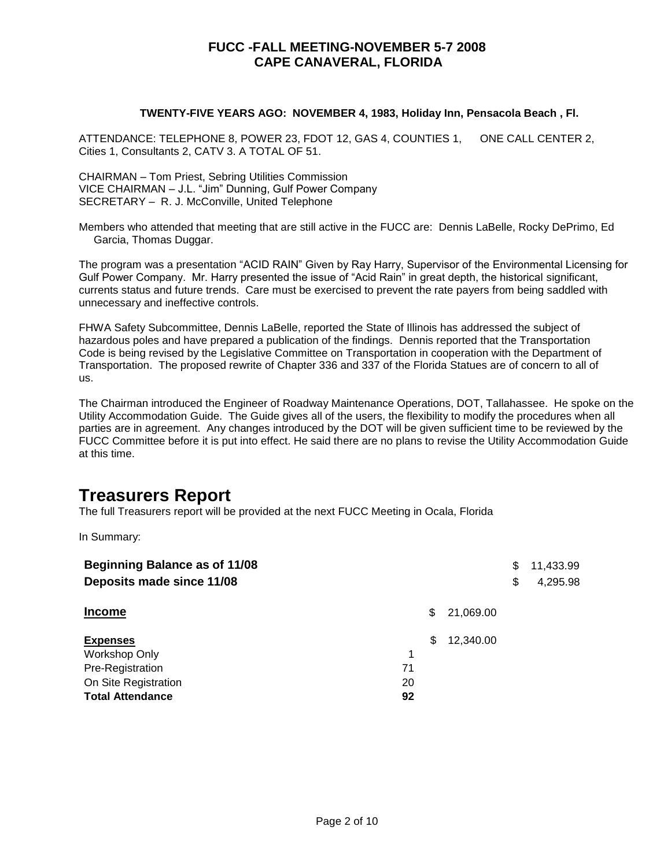### **TWENTY-FIVE YEARS AGO: NOVEMBER 4, 1983, Holiday Inn, Pensacola Beach , Fl.**

ATTENDANCE: TELEPHONE 8, POWER 23, FDOT 12, GAS 4, COUNTIES 1, ONE CALL CENTER 2, Cities 1, Consultants 2, CATV 3. A TOTAL OF 51.

CHAIRMAN – Tom Priest, Sebring Utilities Commission VICE CHAIRMAN – J.L. "Jim" Dunning, Gulf Power Company SECRETARY – R. J. McConville, United Telephone

Members who attended that meeting that are still active in the FUCC are: Dennis LaBelle, Rocky DePrimo, Ed Garcia, Thomas Duggar.

The program was a presentation "ACID RAIN" Given by Ray Harry, Supervisor of the Environmental Licensing for Gulf Power Company. Mr. Harry presented the issue of "Acid Rain" in great depth, the historical significant, currents status and future trends. Care must be exercised to prevent the rate payers from being saddled with unnecessary and ineffective controls.

FHWA Safety Subcommittee, Dennis LaBelle, reported the State of Illinois has addressed the subject of hazardous poles and have prepared a publication of the findings. Dennis reported that the Transportation Code is being revised by the Legislative Committee on Transportation in cooperation with the Department of Transportation. The proposed rewrite of Chapter 336 and 337 of the Florida Statues are of concern to all of us.

The Chairman introduced the Engineer of Roadway Maintenance Operations, DOT, Tallahassee. He spoke on the Utility Accommodation Guide. The Guide gives all of the users, the flexibility to modify the procedures when all parties are in agreement. Any changes introduced by the DOT will be given sufficient time to be reviewed by the FUCC Committee before it is put into effect. He said there are no plans to revise the Utility Accommodation Guide at this time.

# **Treasurers Report**

The full Treasurers report will be provided at the next FUCC Meeting in Ocala, Florida

In Summary:

| <b>Beginning Balance as of 11/08</b> |    |     |           | \$<br>11,433.99 |
|--------------------------------------|----|-----|-----------|-----------------|
| Deposits made since 11/08            |    |     |           | \$<br>4,295.98  |
| <b>Income</b>                        |    | S   | 21,069.00 |                 |
| <b>Expenses</b>                      |    | \$. | 12,340.00 |                 |
| Workshop Only                        | 1  |     |           |                 |
| Pre-Registration                     | 71 |     |           |                 |
| On Site Registration                 | 20 |     |           |                 |
| <b>Total Attendance</b>              | 92 |     |           |                 |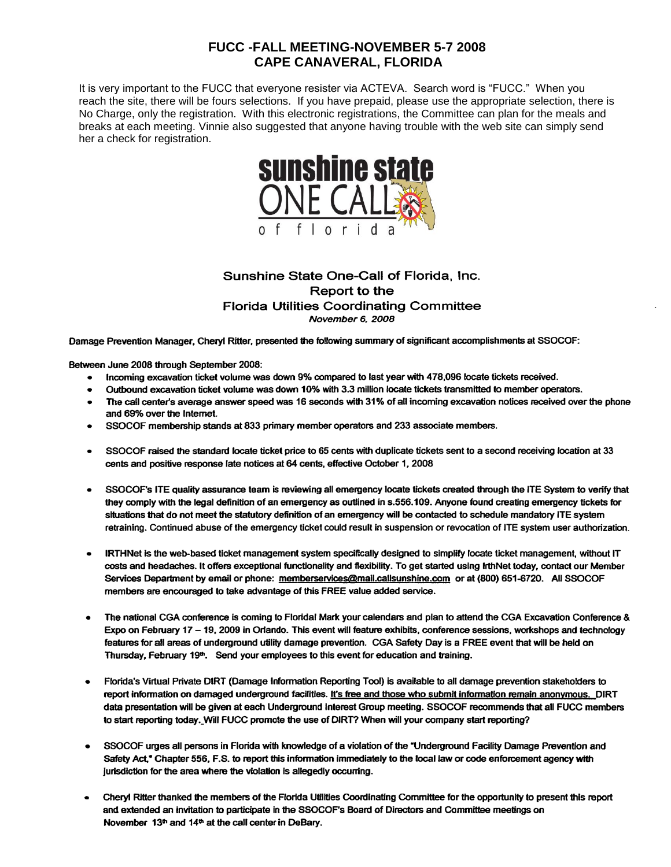It is very important to the FUCC that everyone resister via ACTEVA. Search word is "FUCC." When you reach the site, there will be fours selections. If you have prepaid, please use the appropriate selection, there is No Charge, only the registration. With this electronic registrations, the Committee can plan for the meals and breaks at each meeting. Vinnie also suggested that anyone having trouble with the web site can simply send her a check for registration.



### Sunshine State One-Call of Florida, Inc. Report to the **Florida Utilities Coordinating Committee** November 6, 2008

Damage Prevention Manager, Cheryl Ritter, presented the following summary of significant accomplishments at SSOCOF:

Between June 2008 through September 2008:

- Incoming excavation ticket volume was down 9% compared to last year with 478,096 locate tickets received.  $\bullet$
- Outbound excavation ticket volume was down 10% with 3.3 million locate tickets transmitted to member operators.
- The call center's average answer speed was 16 seconds with 31% of all incoming excavation notices received over the phone and 69% over the Internet.
- SSOCOF membership stands at 833 primary member operators and 233 associate members.
- SSOCOF raised the standard locate ticket price to 65 cents with duplicate tickets sent to a second receiving location at 33 cents and positive response late notices at 64 cents, effective October 1, 2008
- SSOCOF's ITE quality assurance team is reviewing all emergency locate tickets created through the ITE System to verify that they comply with the legal definition of an emergency as outlined in s.556.109. Anyone found creating emergency tickets for situations that do not meet the statutory definition of an emergency will be contacted to schedule mandatory ITE system retraining. Continued abuse of the emergency ticket could result in suspension or revocation of ITE system user authorization.
- IRTHNet is the web-based ticket management system specifically designed to simplify locate ticket management, without IT costs and headaches. It offers exceptional functionality and flexibility. To get started using IrthNet today, contact our Member Services Department by email or phone: memberservices@mail.callsunshine.com or at (800) 651-6720. All SSOCOF members are encouraged to take advantage of this FREE value added service.
- The national CGA conference is coming to Floridal Mark your calendars and plan to attend the CGA Excavation Conference & Expo on February 17 - 19, 2009 in Orlando. This event will feature exhibits, conference sessions, workshops and technology features for all areas of underground utility damage prevention. CGA Safety Day is a FREE event that will be held on Thursday, February 19<sup>th</sup>. Send your employees to this event for education and training.
- Florida's Virtual Private DIRT (Damage Information Reporting Tool) is available to all damage prevention stakeholders to report information on damaged underground facilities. It's free and those who submit information remain anonymous. DIRT data presentation will be given at each Underground Interest Group meeting. SSOCOF recommends that all FUCC members to start reporting today. Will FUCC promote the use of DIRT? When will your company start reporting?
- SSOCOF urges all persons in Florida with knowledge of a violation of the "Underground Facility Damage Prevention and  $\bullet$ Safety Act," Chapter 556, F.S. to report this information immediately to the local law or code enforcement agency with jurisdiction for the area where the violation is allegedly occurring.
- Cheryl Ritter thanked the members of the Florida Utilities Coordinating Committee for the opportunity to present this report and extended an invitation to participate in the SSOCOF's Board of Directors and Committee meetings on November 13<sup>th</sup> and 14<sup>th</sup> at the call center in DeBary.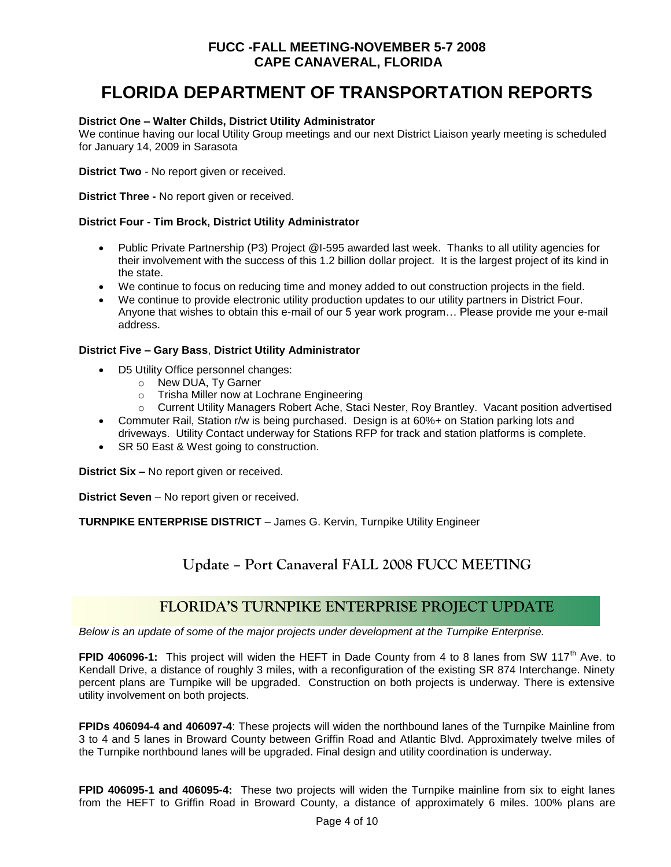# **FLORIDA DEPARTMENT OF TRANSPORTATION REPORTS**

### **District One – Walter Childs, District Utility Administrator**

We continue having our local Utility Group meetings and our next District Liaison yearly meeting is scheduled for January 14, 2009 in Sarasota

**District Two** - No report given or received.

**District Three -** No report given or received.

### **District Four - Tim Brock, District Utility Administrator**

- Public Private Partnership (P3) Project @I-595 awarded last week. Thanks to all utility agencies for their involvement with the success of this 1.2 billion dollar project. It is the largest project of its kind in the state.
- We continue to focus on reducing time and money added to out construction projects in the field.
- We continue to provide electronic utility production updates to our utility partners in District Four. Anyone that wishes to obtain this e-mail of our 5 year work program… Please provide me your e-mail address.

### **District Five – Gary Bass**, **District Utility Administrator**

- D5 Utility Office personnel changes:
	- o New DUA, Ty Garner
	- o Trisha Miller now at Lochrane Engineering
	- o Current Utility Managers Robert Ache, Staci Nester, Roy Brantley. Vacant position advertised
- Commuter Rail, Station r/w is being purchased. Design is at 60%+ on Station parking lots and driveways. Utility Contact underway for Stations RFP for track and station platforms is complete.
- SR 50 East & West going to construction.

**District Six –** No report given or received.

**District Seven** – No report given or received.

**TURNPIKE ENTERPRISE DISTRICT** – James G. Kervin, Turnpike Utility Engineer

## **Update – Port Canaveral FALL 2008 FUCC MEETING**

## **FLORIDA'S TURNPIKE ENTERPRISE PROJECT UPDATE**

*Below is an update of some of the major projects under development at the Turnpike Enterprise.*

**FPID 406096-1:** This project will widen the HEFT in Dade County from 4 to 8 lanes from SW 117<sup>th</sup> Ave. to Kendall Drive, a distance of roughly 3 miles, with a reconfiguration of the existing SR 874 Interchange. Ninety percent plans are Turnpike will be upgraded. Construction on both projects is underway. There is extensive utility involvement on both projects.

**FPIDs 406094-4 and 406097-4**: These projects will widen the northbound lanes of the Turnpike Mainline from 3 to 4 and 5 lanes in Broward County between Griffin Road and Atlantic Blvd. Approximately twelve miles of the Turnpike northbound lanes will be upgraded. Final design and utility coordination is underway.

**FPID 406095-1 and 406095-4:** These two projects will widen the Turnpike mainline from six to eight lanes from the HEFT to Griffin Road in Broward County, a distance of approximately 6 miles. 100% plans are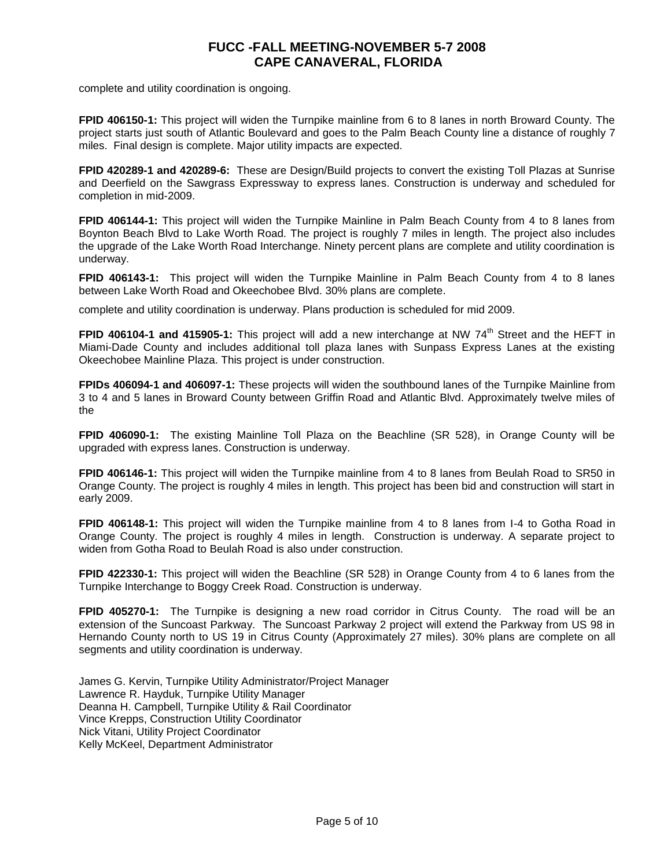complete and utility coordination is ongoing.

**FPID 406150-1:** This project will widen the Turnpike mainline from 6 to 8 lanes in north Broward County. The project starts just south of Atlantic Boulevard and goes to the Palm Beach County line a distance of roughly 7 miles. Final design is complete. Major utility impacts are expected.

**FPID 420289-1 and 420289-6:** These are Design/Build projects to convert the existing Toll Plazas at Sunrise and Deerfield on the Sawgrass Expressway to express lanes. Construction is underway and scheduled for completion in mid-2009.

**FPID 406144-1:** This project will widen the Turnpike Mainline in Palm Beach County from 4 to 8 lanes from Boynton Beach Blvd to Lake Worth Road. The project is roughly 7 miles in length. The project also includes the upgrade of the Lake Worth Road Interchange. Ninety percent plans are complete and utility coordination is underway.

**FPID 406143-1:** This project will widen the Turnpike Mainline in Palm Beach County from 4 to 8 lanes between Lake Worth Road and Okeechobee Blvd. 30% plans are complete.

complete and utility coordination is underway. Plans production is scheduled for mid 2009.

**FPID 406104-1 and 415905-1:** This project will add a new interchange at NW 74<sup>th</sup> Street and the HEFT in Miami-Dade County and includes additional toll plaza lanes with Sunpass Express Lanes at the existing Okeechobee Mainline Plaza. This project is under construction.

**FPIDs 406094-1 and 406097-1:** These projects will widen the southbound lanes of the Turnpike Mainline from 3 to 4 and 5 lanes in Broward County between Griffin Road and Atlantic Blvd. Approximately twelve miles of the

**FPID 406090-1:** The existing Mainline Toll Plaza on the Beachline (SR 528), in Orange County will be upgraded with express lanes. Construction is underway.

**FPID 406146-1:** This project will widen the Turnpike mainline from 4 to 8 lanes from Beulah Road to SR50 in Orange County. The project is roughly 4 miles in length. This project has been bid and construction will start in early 2009.

**FPID 406148-1:** This project will widen the Turnpike mainline from 4 to 8 lanes from I-4 to Gotha Road in Orange County. The project is roughly 4 miles in length. Construction is underway. A separate project to widen from Gotha Road to Beulah Road is also under construction.

**FPID 422330-1:** This project will widen the Beachline (SR 528) in Orange County from 4 to 6 lanes from the Turnpike Interchange to Boggy Creek Road. Construction is underway.

**FPID 405270-1:** The Turnpike is designing a new road corridor in Citrus County. The road will be an extension of the Suncoast Parkway. The Suncoast Parkway 2 project will extend the Parkway from US 98 in Hernando County north to US 19 in Citrus County (Approximately 27 miles). 30% plans are complete on all segments and utility coordination is underway.

James G. Kervin, Turnpike Utility Administrator/Project Manager Lawrence R. Hayduk, Turnpike Utility Manager Deanna H. Campbell, Turnpike Utility & Rail Coordinator Vince Krepps, Construction Utility Coordinator Nick Vitani, Utility Project Coordinator Kelly McKeel, Department Administrator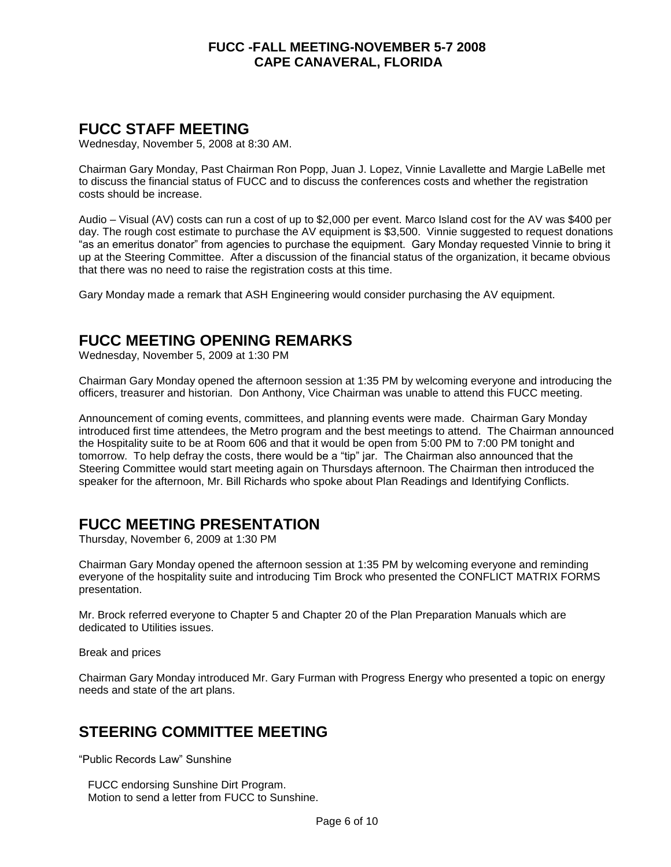## **FUCC STAFF MEETING**

Wednesday, November 5, 2008 at 8:30 AM.

Chairman Gary Monday, Past Chairman Ron Popp, Juan J. Lopez, Vinnie Lavallette and Margie LaBelle met to discuss the financial status of FUCC and to discuss the conferences costs and whether the registration costs should be increase.

Audio – Visual (AV) costs can run a cost of up to \$2,000 per event. Marco Island cost for the AV was \$400 per day. The rough cost estimate to purchase the AV equipment is \$3,500. Vinnie suggested to request donations "as an emeritus donator" from agencies to purchase the equipment. Gary Monday requested Vinnie to bring it up at the Steering Committee. After a discussion of the financial status of the organization, it became obvious that there was no need to raise the registration costs at this time.

Gary Monday made a remark that ASH Engineering would consider purchasing the AV equipment.

## **FUCC MEETING OPENING REMARKS**

Wednesday, November 5, 2009 at 1:30 PM

Chairman Gary Monday opened the afternoon session at 1:35 PM by welcoming everyone and introducing the officers, treasurer and historian. Don Anthony, Vice Chairman was unable to attend this FUCC meeting.

Announcement of coming events, committees, and planning events were made. Chairman Gary Monday introduced first time attendees, the Metro program and the best meetings to attend. The Chairman announced the Hospitality suite to be at Room 606 and that it would be open from 5:00 PM to 7:00 PM tonight and tomorrow. To help defray the costs, there would be a "tip" jar. The Chairman also announced that the Steering Committee would start meeting again on Thursdays afternoon. The Chairman then introduced the speaker for the afternoon, Mr. Bill Richards who spoke about Plan Readings and Identifying Conflicts.

## **FUCC MEETING PRESENTATION**

Thursday, November 6, 2009 at 1:30 PM

Chairman Gary Monday opened the afternoon session at 1:35 PM by welcoming everyone and reminding everyone of the hospitality suite and introducing Tim Brock who presented the CONFLICT MATRIX FORMS presentation.

Mr. Brock referred everyone to Chapter 5 and Chapter 20 of the Plan Preparation Manuals which are dedicated to Utilities issues.

Break and prices

Chairman Gary Monday introduced Mr. Gary Furman with Progress Energy who presented a topic on energy needs and state of the art plans.

## **STEERING COMMITTEE MEETING**

"Public Records Law" Sunshine

 FUCC endorsing Sunshine Dirt Program. Motion to send a letter from FUCC to Sunshine.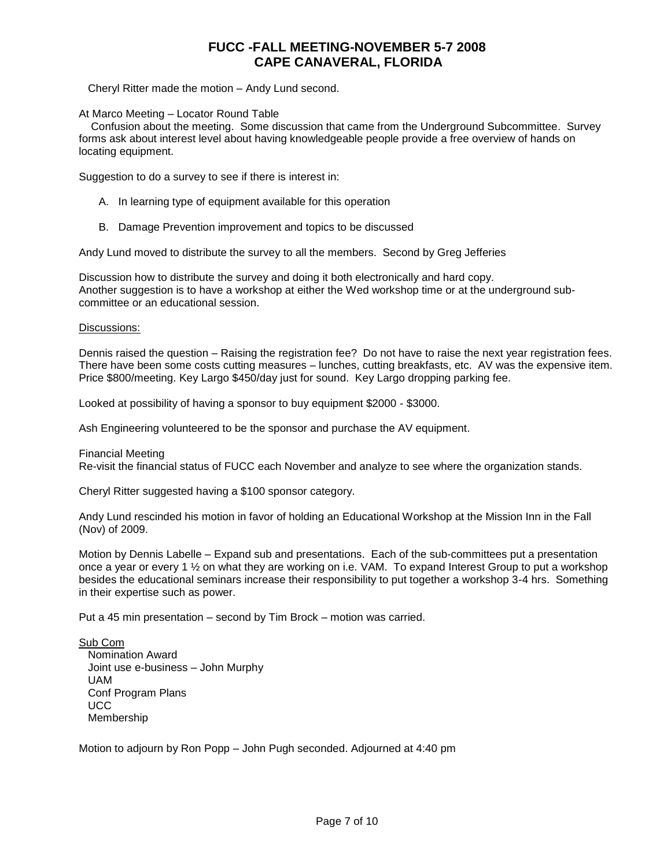Cheryl Ritter made the motion – Andy Lund second.

At Marco Meeting – Locator Round Table

 Confusion about the meeting. Some discussion that came from the Underground Subcommittee. Survey forms ask about interest level about having knowledgeable people provide a free overview of hands on locating equipment.

Suggestion to do a survey to see if there is interest in:

- A. In learning type of equipment available for this operation
- B. Damage Prevention improvement and topics to be discussed

Andy Lund moved to distribute the survey to all the members. Second by Greg Jefferies

Discussion how to distribute the survey and doing it both electronically and hard copy. Another suggestion is to have a workshop at either the Wed workshop time or at the underground subcommittee or an educational session.

Discussions:

Dennis raised the question – Raising the registration fee? Do not have to raise the next year registration fees. There have been some costs cutting measures – lunches, cutting breakfasts, etc. AV was the expensive item. Price \$800/meeting. Key Largo \$450/day just for sound. Key Largo dropping parking fee.

Looked at possibility of having a sponsor to buy equipment \$2000 - \$3000.

Ash Engineering volunteered to be the sponsor and purchase the AV equipment.

Financial Meeting

Re-visit the financial status of FUCC each November and analyze to see where the organization stands.

Cheryl Ritter suggested having a \$100 sponsor category.

Andy Lund rescinded his motion in favor of holding an Educational Workshop at the Mission Inn in the Fall (Nov) of 2009.

Motion by Dennis Labelle – Expand sub and presentations. Each of the sub-committees put a presentation once a year or every 1 ½ on what they are working on i.e. VAM. To expand Interest Group to put a workshop besides the educational seminars increase their responsibility to put together a workshop 3-4 hrs. Something in their expertise such as power.

Put a 45 min presentation – second by Tim Brock – motion was carried.

Sub Com Nomination Award Joint use e-business – John Murphy UAM Conf Program Plans UCC Membership

Motion to adjourn by Ron Popp – John Pugh seconded. Adjourned at 4:40 pm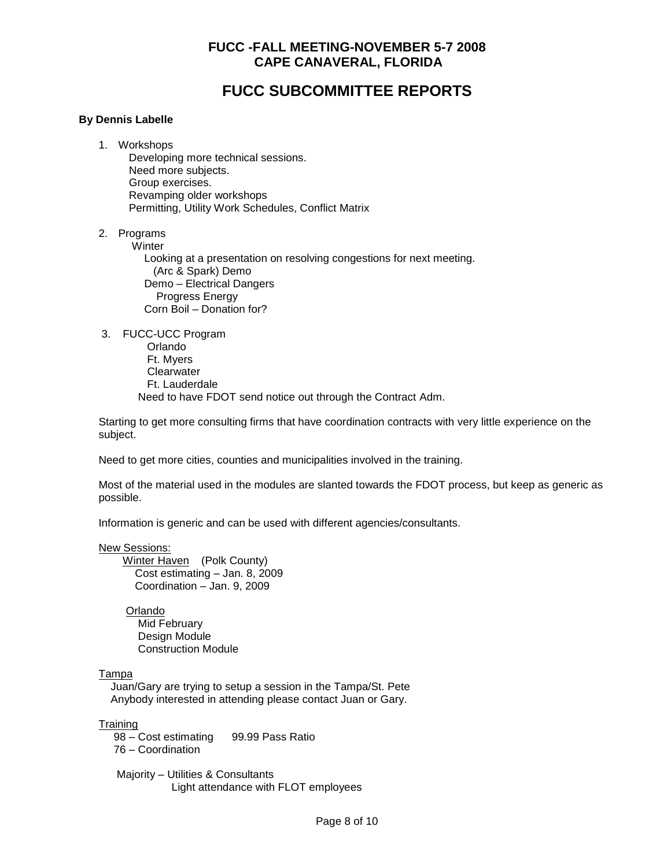## **FUCC SUBCOMMITTEE REPORTS**

### **By Dennis Labelle**

- 1. Workshops Developing more technical sessions. Need more subjects. Group exercises. Revamping older workshops Permitting, Utility Work Schedules, Conflict Matrix
- 2. Programs

**Winter** 

 Looking at a presentation on resolving congestions for next meeting. (Arc & Spark) Demo Demo – Electrical Dangers Progress Energy Corn Boil – Donation for?

3. FUCC-UCC Program

 Orlando Ft. Myers **Clearwater**  Ft. Lauderdale Need to have FDOT send notice out through the Contract Adm.

Starting to get more consulting firms that have coordination contracts with very little experience on the subject.

Need to get more cities, counties and municipalities involved in the training.

Most of the material used in the modules are slanted towards the FDOT process, but keep as generic as possible.

Information is generic and can be used with different agencies/consultants.

#### New Sessions:

 Winter Haven (Polk County) Cost estimating – Jan. 8, 2009 Coordination – Jan. 9, 2009

 Orlando Mid February Design Module Construction Module

#### Tampa

 Juan/Gary are trying to setup a session in the Tampa/St. Pete Anybody interested in attending please contact Juan or Gary.

**Training** 

 98 – Cost estimating 99.99 Pass Ratio 76 – Coordination

 Majority – Utilities & Consultants Light attendance with FLOT employees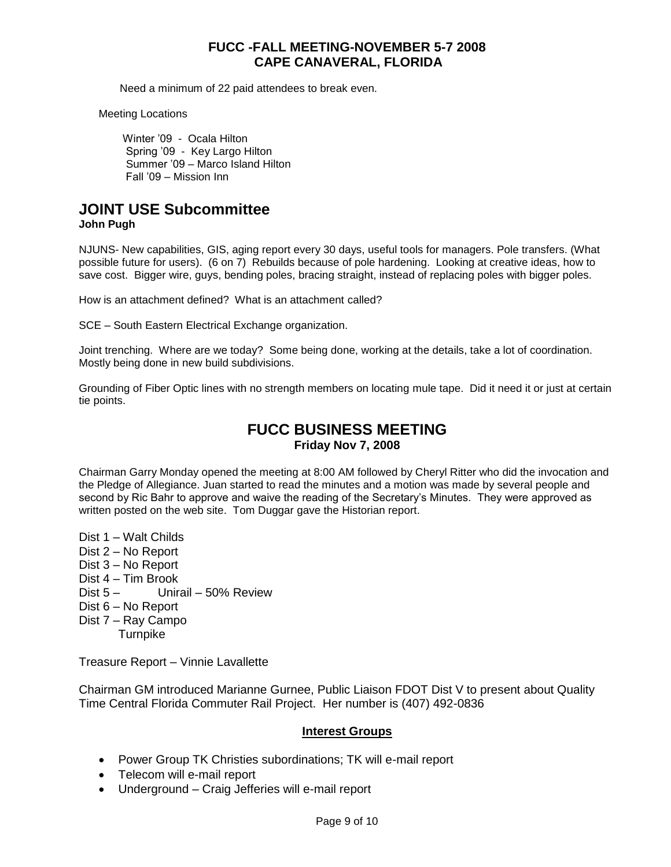Need a minimum of 22 paid attendees to break even.

Meeting Locations

 Winter '09 - Ocala Hilton Spring '09 - Key Largo Hilton Summer '09 – Marco Island Hilton Fall '09 – Mission Inn

# **JOINT USE Subcommittee**

**John Pugh**

NJUNS- New capabilities, GIS, aging report every 30 days, useful tools for managers. Pole transfers. (What possible future for users). (6 on 7) Rebuilds because of pole hardening. Looking at creative ideas, how to save cost. Bigger wire, guys, bending poles, bracing straight, instead of replacing poles with bigger poles.

How is an attachment defined? What is an attachment called?

SCE – South Eastern Electrical Exchange organization.

Joint trenching. Where are we today? Some being done, working at the details, take a lot of coordination. Mostly being done in new build subdivisions.

Grounding of Fiber Optic lines with no strength members on locating mule tape. Did it need it or just at certain tie points.

## **FUCC BUSINESS MEETING Friday Nov 7, 2008**

Chairman Garry Monday opened the meeting at 8:00 AM followed by Cheryl Ritter who did the invocation and the Pledge of Allegiance. Juan started to read the minutes and a motion was made by several people and second by Ric Bahr to approve and waive the reading of the Secretary's Minutes. They were approved as written posted on the web site. Tom Duggar gave the Historian report.

Dist 1 – Walt Childs Dist 2 – No Report Dist 3 – No Report Dist 4 – Tim Brook Dist 5 – Unirail – 50% Review Dist 6 – No Report Dist 7 – Ray Campo **Turnpike** 

Treasure Report – Vinnie Lavallette

Chairman GM introduced Marianne Gurnee, Public Liaison FDOT Dist V to present about Quality Time Central Florida Commuter Rail Project. Her number is (407) 492-0836

### **Interest Groups**

- Power Group TK Christies subordinations; TK will e-mail report
- Telecom will e-mail report
- Underground Craig Jefferies will e-mail report